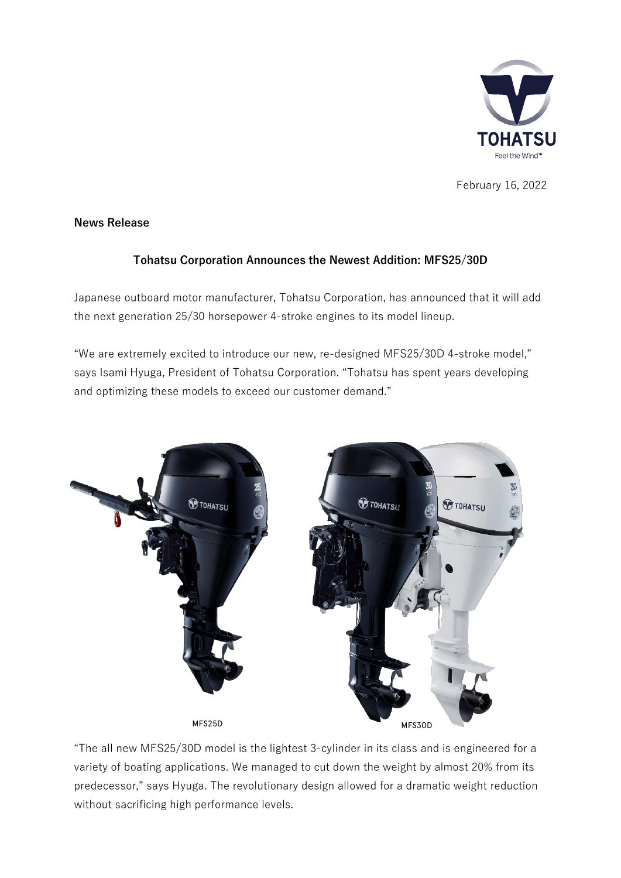

February 16, 2022

## **News Release**

## **Tohatsu Corporation Announces the Newest Addition: MFS25/30D**

Japanese outboard motor manufacturer, Tohatsu Corporation, has announced that it will add the next generation 25/30 horsepower 4-stroke engines to its model lineup.

"We are extremely excited to introduce our new, re-designed MFS25/30D 4-stroke model," says Isami Hyuga, President of Tohatsu Corporation. "Tohatsu has spent years developing and optimizing these models to exceed our customer demand."



"The all new MFS25/30D model is the lightest 3-cylinder in its class and is engineered for a variety of boating applications. We managed to cut down the weight by almost 20% from its predecessor," says Hyuga. The revolutionary design allowed for a dramatic weight reduction without sacrificing high performance levels.